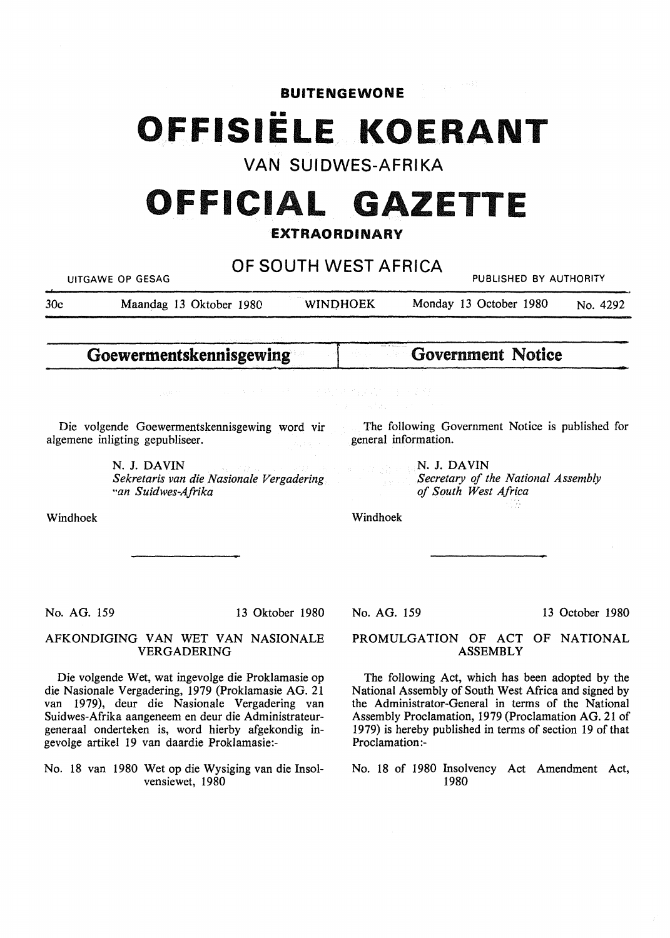#### **BUITENGEWONE**

# **OFFISIELE KOERANT**

VAN SUIDWES-AFRIKA

# **OFFICIAL GAZETTE**

#### **EXTRAORDINARY**

OF SOUTH WEST AFRICA UITGAWE OP GESAG **EREAG AUTHORITY CONTROLLER WAS SERVED AS A PUBLISHED BY AUTHORITY** 30c Maandag 13 Oktober 1980 **WINOHOEK** Monday 13 October 1980 No. 4292

**Goewermentskennisgewing** 

Die volgende Goewermentskennisgewing word vir algemene inligting gepuhliseer.

> **N. J. DAVIN**  *Sekretaris van die Nasionale Vergadering "an Suidwes-Afrika*

The following Government Notice is published for general information.

**Government Notice** 

N. J. **DAVIN**  *Secretary of the National Assembly of South West Africa* 

Windhoek

#### AFKONDIGING VAN WET VAN NASIONALE VERGADERING

No. AG. 159 13 Oktober 1980

Die volgende Wet, wat ingevolge die Proklamasie op die Nasionale Vergadering, 1979 (Proklamasie AG. 21 van 1979), deur die Nasionale Vergadering van Suidwes-Afrika aangeneem en deur die Administrateurgeneraal onderteken is, word hierby afgekondig ingevolge artikel 19 van daardie Proklamasie:-

No. 18 van 1980 Wet op die Wysiging van die Insolvensiewet, 1980

No. AG. 159 13 October 1980

#### PROMULGATION OF ACT OF NATIONAL ASSEMBLY

The following Act, which has been adopted by the National Assembly of South West Africa and signed by the Administrator-General in terms of the National Assembly Proclamation, 1979 (Proclamation AG. 21 of 1979) is hereby published in terms of section 19 of that Proclamation:-

No. 18 of 1980 Insolvency Act Amendment Act, 1980

### Windhoek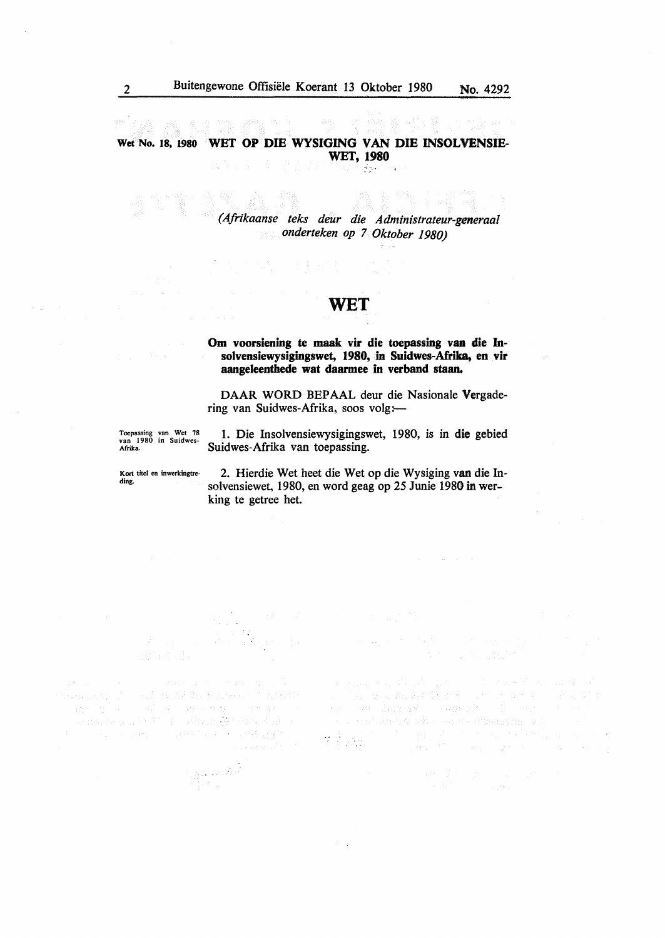## **Wet No. 18, 1980 WET OP DIE WYSIGING VAN DIE INSOLVENSIE-WET, 1980**

*(Afrikaanse teks deur die Administrateur-generaa/ onderteken op* 7 *Oktober 1980)* 

### **WET**

**Om voorsiening te maak vir die toepassing van die** In**solvensiewysigingswet, 1980,** in **Suidwes-Afrika, en vir aangeleenthede wat daarmee** in **verband staan.** 

DAAR WORD BEPAAL deur die Nasionale Vergadering van Suidwes-Afrika, soos volg :-

Toepassing van Wet 78 van 1980 in Suidwes-Afrika.

L Die Insolvensiewysigingswet, 1980, is in die gebied Suidwes-Afrika van toepassing.

Kort titel en inwerkingtreding.

2. Hierdie Wet heet die Wet op die Wysiging van die Insotvensiewet, 1980, en word geag op 25 Junie 1980 in werking te getree het.

Ale and an world and

 $\mathcal{A}(\mathcal{Y}) = \mathop{\mathrm{dist}}\nolimits(\mathcal{Y} \otimes \mathcal{Y}) \qquad \mathcal{A}(\mathcal{Y}) = \mathop{\mathrm{dist}}\nolimits(\mathcal{Y}) = \mathop{\mathrm{dist}}\nolimits(\mathcal{Y} \otimes \mathcal{Y})$ 

on a considerable tek a son da entre perteccen

an Shiriki (1968) a comhairle an 1990.<br>Ceann a bha Meille a bhean An Baile Ban man en parte de l'apprentier en la constitut (2)